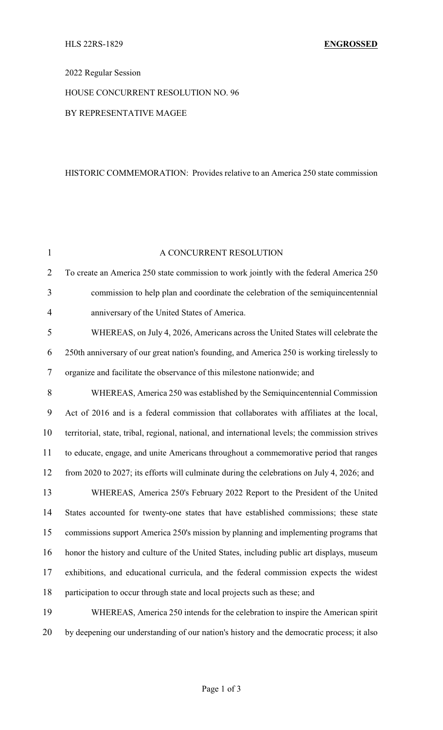# 2022 Regular Session

# HOUSE CONCURRENT RESOLUTION NO. 96

### BY REPRESENTATIVE MAGEE

#### HISTORIC COMMEMORATION: Provides relative to an America 250 state commission

| $\mathbf{1}$   | A CONCURRENT RESOLUTION                                                                          |
|----------------|--------------------------------------------------------------------------------------------------|
| $\overline{2}$ | To create an America 250 state commission to work jointly with the federal America 250           |
| 3              | commission to help plan and coordinate the celebration of the semiquincentennial                 |
| $\overline{4}$ | anniversary of the United States of America.                                                     |
| 5              | WHEREAS, on July 4, 2026, Americans across the United States will celebrate the                  |
| 6              | 250th anniversary of our great nation's founding, and America 250 is working tirelessly to       |
| $\tau$         | organize and facilitate the observance of this milestone nationwide; and                         |
| 8              | WHEREAS, America 250 was established by the Semiquincentennial Commission                        |
| 9              | Act of 2016 and is a federal commission that collaborates with affiliates at the local,          |
| 10             | territorial, state, tribal, regional, national, and international levels; the commission strives |
| 11             | to educate, engage, and unite Americans throughout a commemorative period that ranges            |
| 12             | from 2020 to 2027; its efforts will culminate during the celebrations on July 4, 2026; and       |
| 13             | WHEREAS, America 250's February 2022 Report to the President of the United                       |
| 14             | States accounted for twenty-one states that have established commissions; these state            |
| 15             | commissions support America 250's mission by planning and implementing programs that             |
| 16             | honor the history and culture of the United States, including public art displays, museum        |
| 17             | exhibitions, and educational curricula, and the federal commission expects the widest            |
| 18             | participation to occur through state and local projects such as these; and                       |
| 19             | WHEREAS, America 250 intends for the celebration to inspire the American spirit                  |
| 20             | by deepening our understanding of our nation's history and the democratic process; it also       |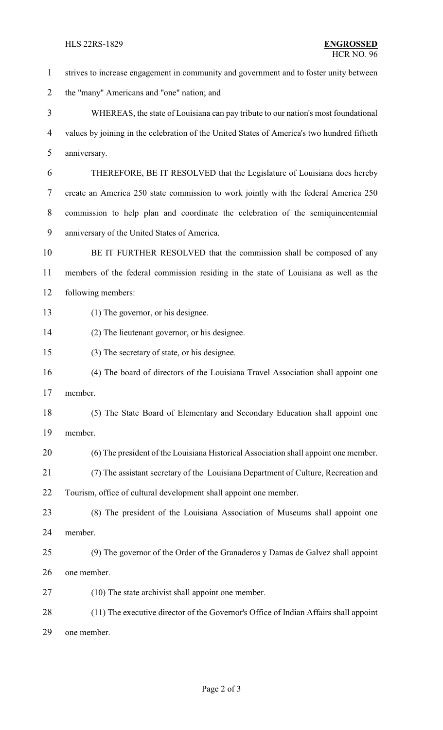strives to increase engagement in community and government and to foster unity between the "many" Americans and "one" nation; and WHEREAS, the state of Louisiana can pay tribute to our nation's most foundational values by joining in the celebration of the United States of America's two hundred fiftieth anniversary. THEREFORE, BE IT RESOLVED that the Legislature of Louisiana does hereby create an America 250 state commission to work jointly with the federal America 250 commission to help plan and coordinate the celebration of the semiquincentennial anniversary of the United States of America. BE IT FURTHER RESOLVED that the commission shall be composed of any members of the federal commission residing in the state of Louisiana as well as the following members: (1) The governor, or his designee. (2) The lieutenant governor, or his designee. (3) The secretary of state, or his designee. (4) The board of directors of the Louisiana Travel Association shall appoint one member. (5) The State Board of Elementary and Secondary Education shall appoint one member. (6) The president of the Louisiana Historical Association shall appoint one member. (7) The assistant secretary of the Louisiana Department of Culture, Recreation and Tourism, office of cultural development shall appoint one member. (8) The president of the Louisiana Association of Museums shall appoint one member. (9) The governor of the Order of the Granaderos y Damas de Galvez shall appoint one member. (10) The state archivist shall appoint one member. (11) The executive director of the Governor's Office of Indian Affairs shall appoint one member.